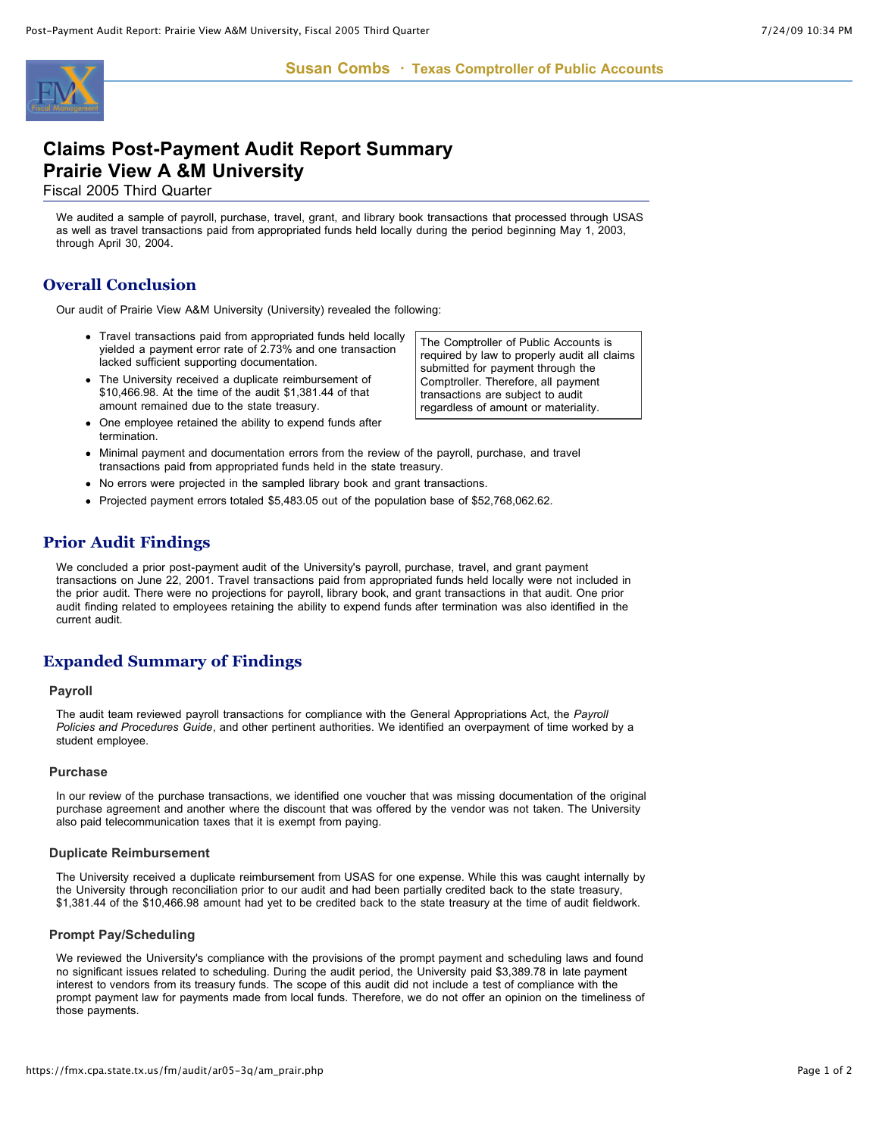

# **Claims Post-Payment Audit Report Summary Prairie View A &M University**

Fiscal 2005 Third Quarter

We audited a sample of payroll, purchase, travel, grant, and library book transactions that processed through USAS as well as travel transactions paid from appropriated funds held locally during the period beginning May 1, 2003, through April 30, 2004.

# **Overall Conclusion**

Our audit of Prairie View A&M University (University) revealed the following:

- Travel transactions paid from appropriated funds held locally yielded a payment error rate of 2.73% and one transaction lacked sufficient supporting documentation.
- The University received a duplicate reimbursement of \$10,466.98. At the time of the audit \$1,381.44 of that amount remained due to the state treasury.
- One employee retained the ability to expend funds after termination.
- Minimal payment and documentation errors from the review of the payroll, purchase, and travel transactions paid from appropriated funds held in the state treasury.
- No errors were projected in the sampled library book and grant transactions.
- Projected payment errors totaled \$5,483.05 out of the population base of \$52,768,062.62.

## **Prior Audit Findings**

We concluded a prior post-payment audit of the University's payroll, purchase, travel, and grant payment transactions on June 22, 2001. Travel transactions paid from appropriated funds held locally were not included in the prior audit. There were no projections for payroll, library book, and grant transactions in that audit. One prior audit finding related to employees retaining the ability to expend funds after termination was also identified in the current audit.

## **Expanded Summary of Findings**

#### **Payroll**

The audit team reviewed payroll transactions for compliance with the General Appropriations Act, the *Payroll Policies and Procedures Guide*, and other pertinent authorities. We identified an overpayment of time worked by a student employee.

#### **Purchase**

In our review of the purchase transactions, we identified one voucher that was missing documentation of the original purchase agreement and another where the discount that was offered by the vendor was not taken. The University also paid telecommunication taxes that it is exempt from paying.

#### **Duplicate Reimbursement**

The University received a duplicate reimbursement from USAS for one expense. While this was caught internally by the University through reconciliation prior to our audit and had been partially credited back to the state treasury, \$1,381.44 of the \$10,466.98 amount had yet to be credited back to the state treasury at the time of audit fieldwork.

#### **Prompt Pay/Scheduling**

We reviewed the University's compliance with the provisions of the prompt payment and scheduling laws and found no significant issues related to scheduling. During the audit period, the University paid \$3,389.78 in late payment interest to vendors from its treasury funds. The scope of this audit did not include a test of compliance with the prompt payment law for payments made from local funds. Therefore, we do not offer an opinion on the timeliness of those payments.

The Comptroller of Public Accounts is required by law to properly audit all claims submitted for payment through the Comptroller. Therefore, all payment transactions are subject to audit regardless of amount or materiality.